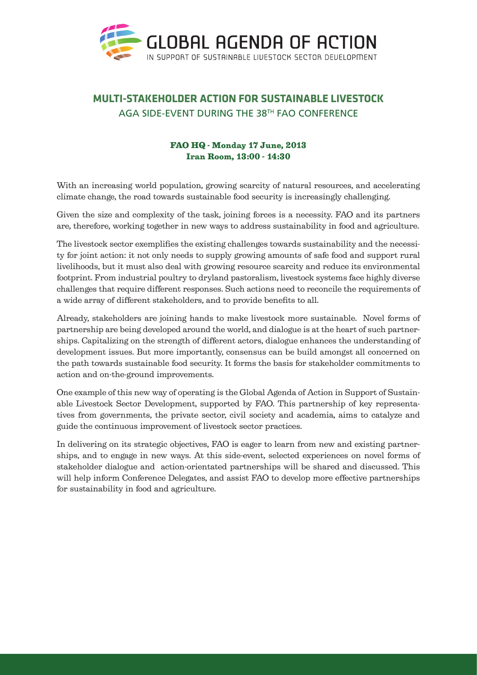

## **MULTI-STAKEHOLDER ACTION FOR SUSTAINABLE LIVESTOCK** AGA SIDE-EVENT DURING THE 38TH FAO CONFERENCE

## FAO HQ - Monday 17 June, 2013 Iran Room, 13:00 - 14:30

With an increasing world population, growing scarcity of natural resources, and accelerating climate change, the road towards sustainable food security is increasingly challenging.

Given the size and complexity of the task, joining forces is a necessity. FAO and its partners are, therefore, working together in new ways to address sustainability in food and agriculture.

The livestock sector exemplifies the existing challenges towards sustainability and the necessity for joint action: it not only needs to supply growing amounts of safe food and support rural livelihoods, but it must also deal with growing resource scarcity and reduce its environmental footprint. From industrial poultry to dryland pastoralism, livestock systems face highly diverse challenges that require different responses. Such actions need to reconcile the requirements of a wide array of different stakeholders, and to provide benefits to all.

Already, stakeholders are joining hands to make livestock more sustainable. Novel forms of partnership are being developed around the world, and dialogue is at the heart of such partnerships. Capitalizing on the strength of different actors, dialogue enhances the understanding of development issues. But more importantly, consensus can be build amongst all concerned on the path towards sustainable food security. It forms the basis for stakeholder commitments to action and on-the-ground improvements.

One example of this new way of operating is the Global Agenda of Action in Support of Sustainable Livestock Sector Development, supported by FAO. This partnership of key representatives from governments, the private sector, civil society and academia, aims to catalyze and guide the continuous improvement of livestock sector practices.

In delivering on its strategic objectives, FAO is eager to learn from new and existing partnerships, and to engage in new ways. At this side-event, selected experiences on novel forms of stakeholder dialogue and action-orientated partnerships will be shared and discussed. This will help inform Conference Delegates, and assist FAO to develop more effective partnerships for sustainability in food and agriculture.